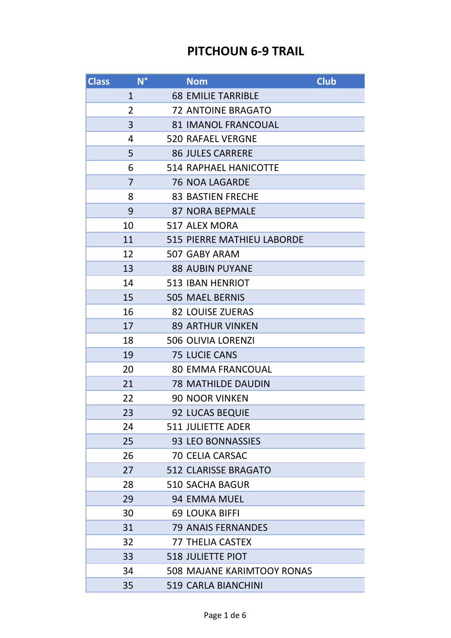## **PITCHOUN 6-9 TRAIL**

| <b>Class</b> | $N^{\circ}$    | <b>Nom</b>                        | <b>Club</b> |
|--------------|----------------|-----------------------------------|-------------|
|              | $\mathbf{1}$   | <b>68 EMILIE TARRIBLE</b>         |             |
|              | $\overline{2}$ | <b>72 ANTOINE BRAGATO</b>         |             |
|              | 3              | <b>81 IMANOL FRANCOUAL</b>        |             |
|              | 4              | <b>520 RAFAEL VERGNE</b>          |             |
|              | 5              | <b>86 JULES CARRERE</b>           |             |
|              | 6              | <b>514 RAPHAEL HANICOTTE</b>      |             |
|              | $\overline{7}$ | <b>76 NOA LAGARDE</b>             |             |
|              | 8              | <b>83 BASTIEN FRECHE</b>          |             |
|              | 9              | <b>87 NORA BEPMALE</b>            |             |
|              | 10             | 517 ALEX MORA                     |             |
|              | 11             | <b>515 PIERRE MATHIEU LABORDE</b> |             |
|              | 12             | 507 GABY ARAM                     |             |
|              | 13             | <b>88 AUBIN PUYANE</b>            |             |
|              | 14             | <b>513 IBAN HENRIOT</b>           |             |
|              | 15             | <b>505 MAEL BERNIS</b>            |             |
|              | 16             | <b>82 LOUISE ZUERAS</b>           |             |
|              | 17             | <b>89 ARTHUR VINKEN</b>           |             |
|              | 18             | <b>506 OLIVIA LORENZI</b>         |             |
|              | 19             | <b>75 LUCIE CANS</b>              |             |
|              | 20             | <b>80 EMMA FRANCOUAL</b>          |             |
|              | 21             | <b>78 MATHILDE DAUDIN</b>         |             |
|              | 22             | <b>90 NOOR VINKEN</b>             |             |
|              | 23             | 92 LUCAS BEQUIE                   |             |
|              | 24             | <b>511 JULIETTE ADER</b>          |             |
|              | 25             | 93 LEO BONNASSIES                 |             |
|              | 26             | <b>70 CELIA CARSAC</b>            |             |
|              | 27             | <b>512 CLARISSE BRAGATO</b>       |             |
|              | 28             | <b>510 SACHA BAGUR</b>            |             |
|              | 29             | 94 EMMA MUEL                      |             |
|              | 30             | <b>69 LOUKA BIFFI</b>             |             |
|              | 31             | <b>79 ANAIS FERNANDES</b>         |             |
|              | 32             | <b>77 THELIA CASTEX</b>           |             |
|              | 33             | <b>518 JULIETTE PIOT</b>          |             |
|              | 34             | <b>508 MAJANE KARIMTOOY RONAS</b> |             |
|              | 35             | <b>519 CARLA BIANCHINI</b>        |             |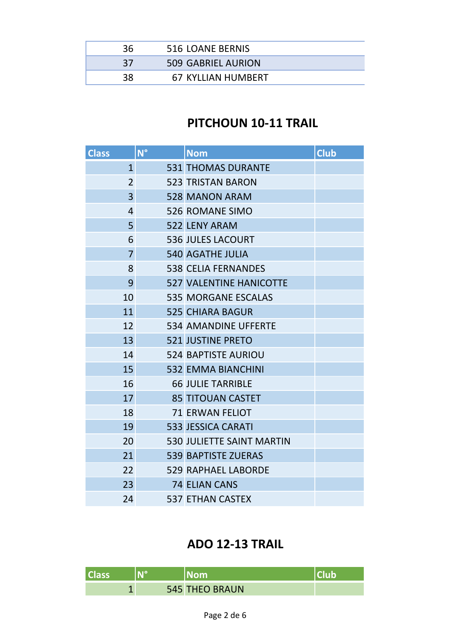| 36 | 516 LOANE BERNIS          |  |
|----|---------------------------|--|
| 37 | 509 GABRIEL AURION        |  |
| 38 | <b>67 KYLLIAN HUMBERT</b> |  |

## **PITCHOUN 10-11 TRAIL**

| <b>Class</b> |                | $N^{\circ}$ | <b>Nom</b>                       | <b>Club</b> |
|--------------|----------------|-------------|----------------------------------|-------------|
|              | $\mathbf{1}$   |             | <b>531 THOMAS DURANTE</b>        |             |
|              | $\overline{2}$ |             | <b>523 TRISTAN BARON</b>         |             |
|              | $\overline{3}$ |             | <b>528 MANON ARAM</b>            |             |
|              | $\overline{4}$ |             | <b>526 ROMANE SIMO</b>           |             |
|              | 5 <sup>1</sup> |             | 522 LENY ARAM                    |             |
|              | 6              |             | <b>536 JULES LACOURT</b>         |             |
|              | $\overline{7}$ |             | <b>540 AGATHE JULIA</b>          |             |
|              | 8              |             | <b>538 CELIA FERNANDES</b>       |             |
|              | 9              |             | <b>527 VALENTINE HANICOTTE</b>   |             |
|              | 10             |             | <b>535 MORGANE ESCALAS</b>       |             |
|              | 11             |             | <b>525 CHIARA BAGUR</b>          |             |
|              | 12             |             | <b>534 AMANDINE UFFERTE</b>      |             |
|              | 13             |             | <b>521 JUSTINE PRETO</b>         |             |
|              | 14             |             | <b>524 BAPTISTE AURIOU</b>       |             |
|              | 15             |             | <b>532 EMMA BIANCHINI</b>        |             |
|              | 16             |             | <b>66 JULIE TARRIBLE</b>         |             |
|              | 17             |             | <b>85 TITOUAN CASTET</b>         |             |
|              | 18             |             | <b>71 ERWAN FELIOT</b>           |             |
|              | 19             |             | <b>533 JESSICA CARATI</b>        |             |
|              | 20             |             | <b>530 JULIETTE SAINT MARTIN</b> |             |
|              | 21             |             | <b>539 BAPTISTE ZUERAS</b>       |             |
|              | 22             |             | <b>529 RAPHAEL LABORDE</b>       |             |
|              | 23             |             | <b>74 ELIAN CANS</b>             |             |
|              | 24             |             | <b>537 ETHAN CASTEX</b>          |             |

## **ADO 12-13 TRAIL**

|  | <b>545 THEO BRAUN</b> |  |
|--|-----------------------|--|